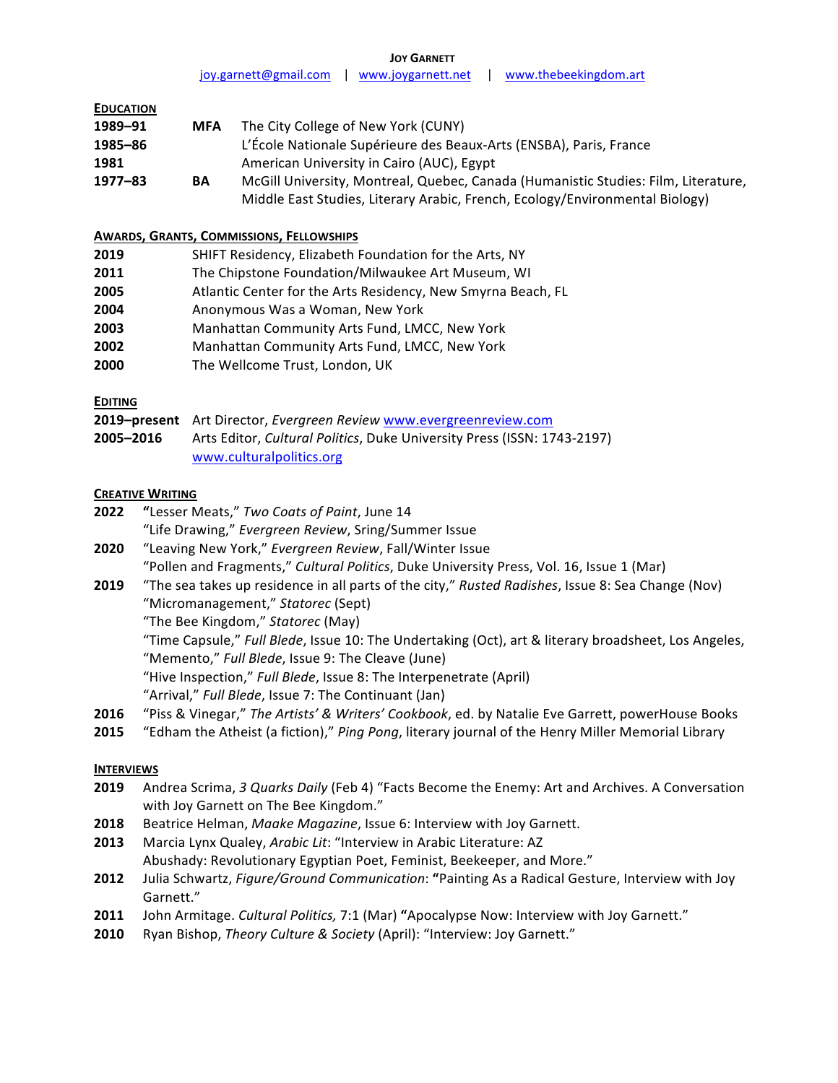**JOY GARNETT**

joy.garnett@gmail.com | www.joygarnett.net | www.thebeekingdom.art

| <b>EDUCATION</b> |            |                                                                                    |
|------------------|------------|------------------------------------------------------------------------------------|
| 1989-91          | <b>MFA</b> | The City College of New York (CUNY)                                                |
| 1985-86          |            | L'École Nationale Supérieure des Beaux-Arts (ENSBA), Paris, France                 |
| 1981             |            | American University in Cairo (AUC), Egypt                                          |
| $1977 - 83$      | BA         | McGill University, Montreal, Quebec, Canada (Humanistic Studies: Film, Literature, |
|                  |            | Middle East Studies, Literary Arabic, French, Ecology/Environmental Biology)       |

### **AWARDS, GRANTS, COMMISSIONS, FELLOWSHIPS**

| 2019 | SHIFT Residency, Elizabeth Foundation for the Arts, NY       |
|------|--------------------------------------------------------------|
| 2011 | The Chipstone Foundation/Milwaukee Art Museum, WI            |
| 2005 | Atlantic Center for the Arts Residency, New Smyrna Beach, FL |
| 2004 | Anonymous Was a Woman, New York                              |
| 2003 | Manhattan Community Arts Fund, LMCC, New York                |
| 2002 | Manhattan Community Arts Fund, LMCC, New York                |
| 2000 | The Wellcome Trust, London, UK                               |

# **EDITING**

|           | 2019-present Art Director, Evergreen Review www.evergreenreview.com             |  |
|-----------|---------------------------------------------------------------------------------|--|
| 2005-2016 | Arts Editor, <i>Cultural Politics</i> , Duke University Press (ISSN: 1743-2197) |  |
|           | www.culturalpolitics.org                                                        |  |

## **CREATIVE WRITING**

- **2022 "Lesser Meats,"** *Two Coats of Paint***, June 14** "Life Drawing," *Evergreen Review*, Sring/Summer Issue
- **2020** "Leaving New York," *Evergreen Review*, Fall/Winter Issue "Pollen and Fragments," *Cultural Politics*, Duke University Press, Vol. 16, Issue 1 (Mar)

**2019** "The sea takes up residence in all parts of the city," Rusted Radishes, Issue 8: Sea Change (Nov) "Micromanagement," *Statorec* (Sept)

"The Bee Kingdom," Statorec (May)

"Time Capsule," *Full Blede*, Issue 10: The Undertaking (Oct), art & literary broadsheet, Los Angeles, "Memento," Full Blede, Issue 9: The Cleave (June)

- "Hive Inspection," Full Blede, Issue 8: The Interpenetrate (April)
- "Arrival," Full Blede, Issue 7: The Continuant (Jan)
- **2016** "Piss & Vinegar," The Artists' & Writers' Cookbook, ed. by Natalie Eve Garrett, powerHouse Books
- **2015** "Edham the Atheist (a fiction)," Ping Pong, literary journal of the Henry Miller Memorial Library

### **INTERVIEWS**

- **2019** Andrea Scrima, 3 Quarks Daily (Feb 4) "Facts Become the Enemy: Art and Archives. A Conversation with Joy Garnett on The Bee Kingdom."
- **2018** Beatrice Helman, Maake Magazine, Issue 6: Interview with Joy Garnett.
- **2013** Marcia Lynx Qualey, Arabic Lit: "Interview in Arabic Literature: AZ Abushady: Revolutionary Egyptian Poet, Feminist, Beekeeper, and More."
- **2012** Julia Schwartz, *Figure/Ground Communication*: "Painting As a Radical Gesture, Interview with Joy Garnett."
- **2011** John Armitage. *Cultural Politics*, 7:1 (Mar) "Apocalypse Now: Interview with Joy Garnett."
- **2010** Ryan Bishop, Theory Culture & Society (April): "Interview: Joy Garnett."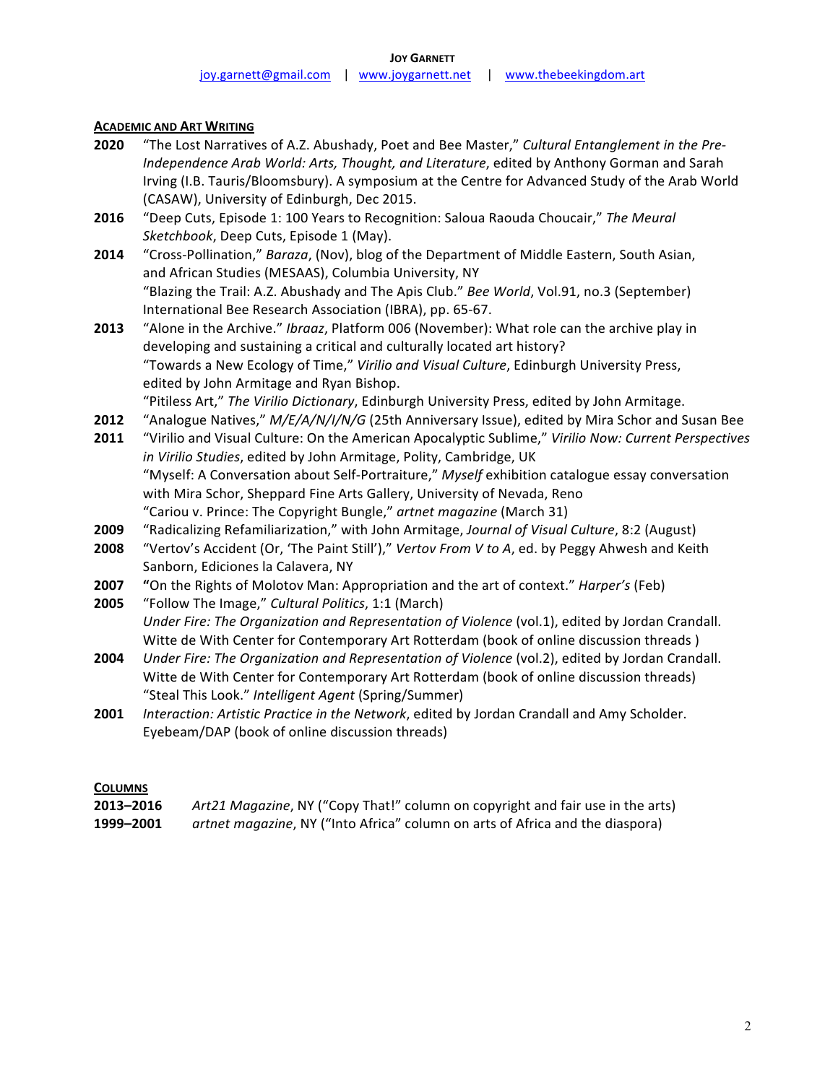### **ACADEMIC AND ART WRITING**

- **2020** "The Lost Narratives of A.Z. Abushady, Poet and Bee Master," Cultural Entanglement in the Pre-*Independence Arab World: Arts, Thought, and Literature,* edited by Anthony Gorman and Sarah Irving (I.B. Tauris/Bloomsbury). A symposium at the Centre for Advanced Study of the Arab World (CASAW), University of Edinburgh, Dec 2015.
- **2016** "Deep Cuts, Episode 1: 100 Years to Recognition: Saloua Raouda Choucair," The Meural *Sketchbook*, Deep Cuts, Episode 1 (May).
- **2014** "Cross-Pollination," *Baraza*, (Nov), blog of the Department of Middle Eastern, South Asian, and African Studies (MESAAS), Columbia University, NY "Blazing the Trail: A.Z. Abushady and The Apis Club." *Bee World*, Vol.91, no.3 (September) International Bee Research Association (IBRA), pp. 65-67.
- **2013** "Alone in the Archive." *Ibraaz*, Platform 006 (November): What role can the archive play in developing and sustaining a critical and culturally located art history? "Towards a New Ecology of Time," Virilio and Visual Culture, Edinburgh University Press, edited by John Armitage and Ryan Bishop.
- "Pitiless Art," The Virilio Dictionary, Edinburgh University Press, edited by John Armitage.
- **2012** "Analogue Natives," *M/E/A/N/I/N/G* (25th Anniversary Issue), edited by Mira Schor and Susan Bee **2011** "Virilio and Visual Culture: On the American Apocalyptic Sublime," Virilio Now: Current Perspectives in Virilio Studies, edited by John Armitage, Polity, Cambridge, UK "Myself: A Conversation about Self-Portraiture," Myself exhibition catalogue essay conversation with Mira Schor, Sheppard Fine Arts Gallery, University of Nevada, Reno "Cariou v. Prince: The Copyright Bungle," artnet magazine (March 31)
- 2009 "Radicalizing Refamiliarization," with John Armitage, *Journal of Visual Culture*, 8:2 (August)
- **2008** "Vertov's Accident (Or, 'The Paint Still')," Vertov From V to A, ed. by Peggy Ahwesh and Keith Sanborn, Ediciones la Calavera, NY
- **2007 "**On the Rights of Molotov Man: Appropriation and the art of context." *Harper's* (Feb)
- **2005** "Follow The Image," *Cultural Politics*, 1:1 (March) *Under Fire: The Organization and Representation of Violence* (vol.1), edited by Jordan Crandall. Witte de With Center for Contemporary Art Rotterdam (book of online discussion threads)
- **2004** *Under Fire: The Organization and Representation of Violence* (vol.2), edited by Jordan Crandall. Witte de With Center for Contemporary Art Rotterdam (book of online discussion threads) "Steal This Look." *Intelligent Agent* (Spring/Summer)
- **2001** *Interaction: Artistic Practice in the Network, edited by Jordan Crandall and Amy Scholder.* Eyebeam/DAP (book of online discussion threads)

### **COLUMNS**

| 2013-2016 | Art21 Magazine, NY ("Copy That!" column on copyright and fair use in the arts) |
|-----------|--------------------------------------------------------------------------------|
| 1999-2001 | artnet magazine, NY ("Into Africa" column on arts of Africa and the diaspora)  |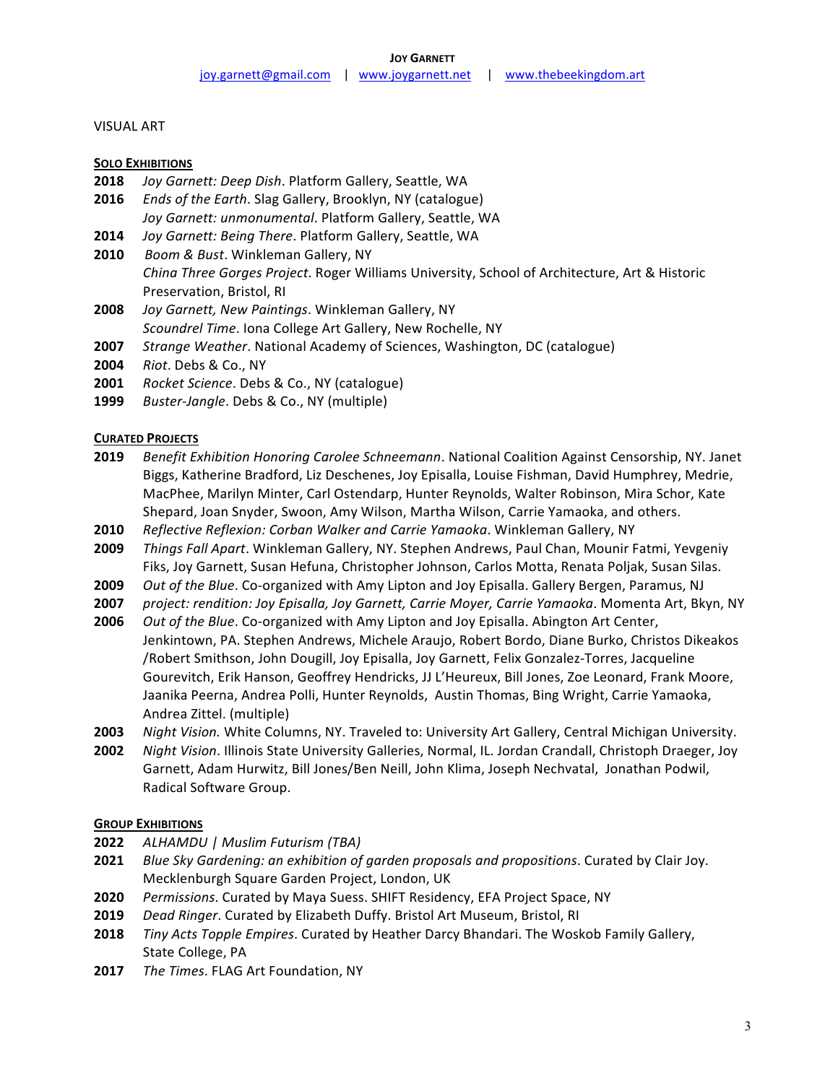### **VISUAL ART**

#### **SOLO EXHIBITIONS**

- 2018 *Joy Garnett: Deep Dish.* Platform Gallery, Seattle, WA
- **2016** *Ends of the Earth*. Slag Gallery, Brooklyn, NY (catalogue) Joy Garnett: unmonumental. Platform Gallery, Seattle, WA
- **2014** *Joy Garnett: Being There. Platform Gallery, Seattle, WA*
- **2010** Boom & Bust. Winkleman Gallery, NY *China Three Gorges Project*. Roger Williams University, School of Architecture, Art & Historic Preservation, Bristol, RI
- **2008** *Joy Garnett, New Paintings.* Winkleman Gallery, NY *Scoundrel Time*. Iona College Art Gallery, New Rochelle, NY
- **2007** *Strange Weather*. National Academy of Sciences, Washington, DC (catalogue)
- **2004** *Riot*. Debs & Co., NY
- **2001** *Rocket Science*. Debs & Co., NY (catalogue)
- **1999** *Buster-Jangle*. Debs & Co., NY (multiple)

#### **CURATED PROJECTS**

- **2019** *Benefit Exhibition Honoring Carolee Schneemann*. National Coalition Against Censorship, NY. Janet Biggs, Katherine Bradford, Liz Deschenes, Joy Episalla, Louise Fishman, David Humphrey, Medrie, MacPhee, Marilyn Minter, Carl Ostendarp, Hunter Reynolds, Walter Robinson, Mira Schor, Kate Shepard, Joan Snyder, Swoon, Amy Wilson, Martha Wilson, Carrie Yamaoka, and others.
- **2010** Reflective Reflexion: Corban Walker and Carrie Yamaoka. Winkleman Gallery, NY
- **2009** *Things Fall Apart*. Winkleman Gallery, NY. Stephen Andrews, Paul Chan, Mounir Fatmi, Yevgeniy Fiks, Joy Garnett, Susan Hefuna, Christopher Johnson, Carlos Motta, Renata Poljak, Susan Silas.
- **2009** *Out of the Blue*. Co-organized with Amy Lipton and Joy Episalla. Gallery Bergen, Paramus, NJ
- **2007** *project: rendition: Joy Episalla, Joy Garnett, Carrie Moyer, Carrie Yamaoka. Momenta Art, Bkyn, NY*
- **2006** *Out of the Blue*. Co-organized with Amy Lipton and Joy Episalla. Abington Art Center, Jenkintown, PA. Stephen Andrews, Michele Araujo, Robert Bordo, Diane Burko, Christos Dikeakos /Robert Smithson, John Dougill, Joy Episalla, Joy Garnett, Felix Gonzalez-Torres, Jacqueline Gourevitch, Erik Hanson, Geoffrey Hendricks, JJ L'Heureux, Bill Jones, Zoe Leonard, Frank Moore, Jaanika Peerna, Andrea Polli, Hunter Reynolds, Austin Thomas, Bing Wright, Carrie Yamaoka,
- Andrea Zittel. (multiple)
- **2003** *Night Vision.* White Columns, NY. Traveled to: University Art Gallery, Central Michigan University. **2002** *Night Vision*. Illinois State University Galleries, Normal, IL. Jordan Crandall, Christoph Draeger, Joy Garnett, Adam Hurwitz, Bill Jones/Ben Neill, John Klima, Joseph Nechvatal, Jonathan Podwil, Radical Software Group.

### **GROUP EXHIBITIONS**

- **2022** *ALHAMDU | Muslim Futurism (TBA)*
- **2021** *Blue Sky Gardening: an exhibition of garden proposals and propositions.* Curated by Clair Joy. Mecklenburgh Square Garden Project, London, UK
- **2020** *Permissions*. Curated by Maya Suess. SHIFT Residency, EFA Project Space, NY
- **2019** *Dead Ringer*. Curated by Elizabeth Duffy. Bristol Art Museum, Bristol, RI
- **2018** *Tiny Acts Topple Empires*. Curated by Heather Darcy Bhandari. The Woskob Family Gallery, State College, PA
- **2017** *The Times*. FLAG Art Foundation, NY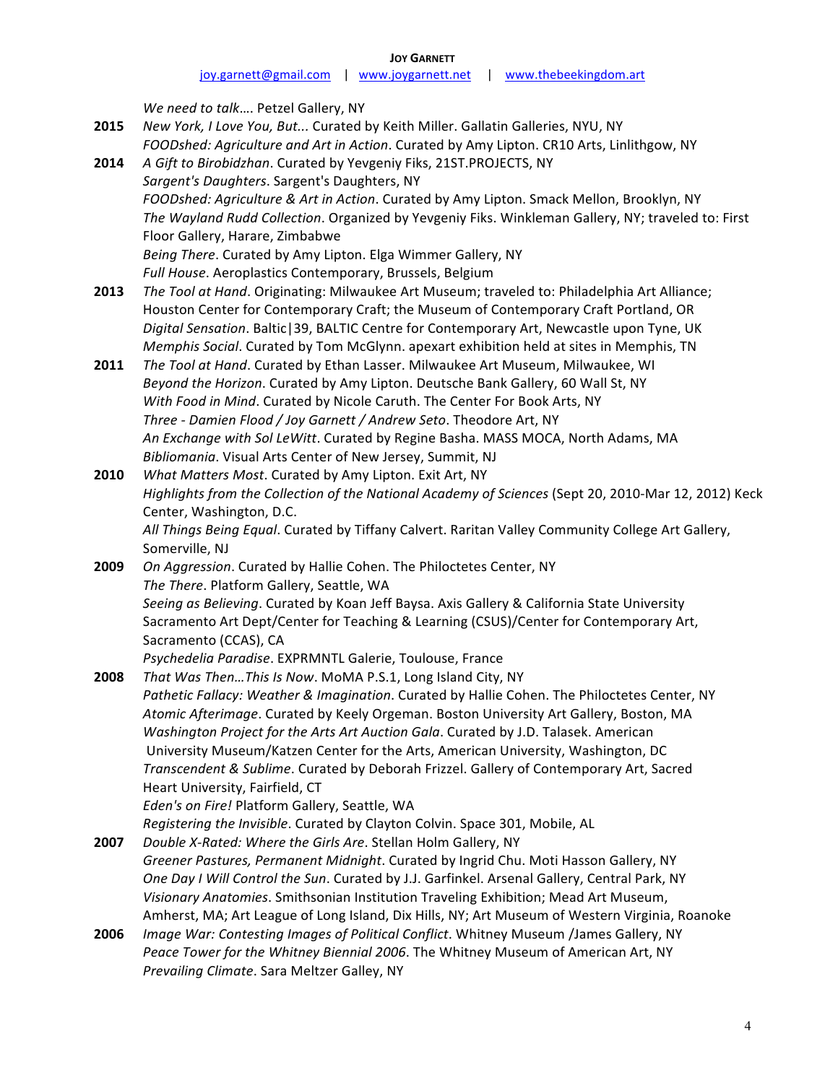| <b>JOY GARNETT</b>    |                    |  |                       |  |  |  |
|-----------------------|--------------------|--|-----------------------|--|--|--|
| joy.garnett@gmail.com | www.joygarnett.net |  | www.thebeekingdom.art |  |  |  |

*We need to talk*.... Petzel Gallery, NY **2015** New York, I Love You, But... Curated by Keith Miller. Gallatin Galleries, NYU, NY FOODshed: Agriculture and Art in Action. Curated by Amy Lipton. CR10 Arts, Linlithgow, NY **2014** A Gift to Birobidzhan. Curated by Yevgeniy Fiks, 21ST.PROJECTS, NY Sargent's Daughters. Sargent's Daughters, NY FOODshed: Agriculture & Art in Action. Curated by Amy Lipton. Smack Mellon, Brooklyn, NY The Wayland Rudd Collection. Organized by Yevgeniy Fiks. Winkleman Gallery, NY; traveled to: First Floor Gallery, Harare, Zimbabwe Being There. Curated by Amy Lipton. Elga Wimmer Gallery, NY Full House. Aeroplastics Contemporary, Brussels, Belgium **2013** *The Tool at Hand*. Originating: Milwaukee Art Museum; traveled to: Philadelphia Art Alliance; Houston Center for Contemporary Craft; the Museum of Contemporary Craft Portland, OR Digital Sensation. Baltic | 39, BALTIC Centre for Contemporary Art, Newcastle upon Tyne, UK *Memphis Social*. Curated by Tom McGlynn. apexart exhibition held at sites in Memphis, TN **2011** *The Tool at Hand*. Curated by Ethan Lasser. Milwaukee Art Museum, Milwaukee, WI *Beyond the Horizon*. Curated by Amy Lipton. Deutsche Bank Gallery, 60 Wall St, NY *With Food in Mind.* Curated by Nicole Caruth. The Center For Book Arts, NY Three - Damien Flood / Joy Garnett / Andrew Seto. Theodore Art, NY An Exchange with Sol LeWitt. Curated by Regine Basha. MASS MOCA, North Adams, MA *Bibliomania*. Visual Arts Center of New Jersey, Summit, NJ **2010** *What Matters Most.* Curated by Amy Lipton. Exit Art, NY Highlights from the Collection of the National Academy of Sciences (Sept 20, 2010-Mar 12, 2012) Keck Center, Washington, D.C. All Things Being Equal. Curated by Tiffany Calvert. Raritan Valley Community College Art Gallery, Somerville, NJ **2009** *On Aggression*. Curated by Hallie Cohen. The Philoctetes Center, NY The There. Platform Gallery, Seattle, WA Seeing as Believing. Curated by Koan Jeff Baysa. Axis Gallery & California State University Sacramento Art Dept/Center for Teaching & Learning (CSUS)/Center for Contemporary Art, Sacramento (CCAS), CA *Psychedelia Paradise*. EXPRMNTL Galerie, Toulouse, France **2008** *That Was Then... This Is Now.* MoMA P.S.1, Long Island City, NY Pathetic Fallacy: Weather & Imagination. Curated by Hallie Cohen. The Philoctetes Center, NY Atomic Afterimage. Curated by Keely Orgeman. Boston University Art Gallery, Boston, MA *Washington Project for the Arts Art Auction Gala.* Curated by J.D. Talasek. American University Museum/Katzen Center for the Arts, American University, Washington, DC *Transcendent & Sublime*. Curated by Deborah Frizzel. Gallery of Contemporary Art, Sacred Heart University, Fairfield, CT Eden's on Fire! Platform Gallery, Seattle, WA *Registering the Invisible*. Curated by Clayton Colvin. Space 301, Mobile, AL **2007** *Double X-Rated: Where the Girls Are.* Stellan Holm Gallery, NY Greener Pastures, Permanent Midnight. Curated by Ingrid Chu. Moti Hasson Gallery, NY *One Day I Will Control the Sun*. Curated by J.J. Garfinkel. Arsenal Gallery, Central Park, NY Visionary Anatomies. Smithsonian Institution Traveling Exhibition; Mead Art Museum, Amherst, MA; Art League of Long Island, Dix Hills, NY; Art Museum of Western Virginia, Roanoke **2006** *Image War: Contesting Images of Political Conflict*. Whitney Museum /James Gallery, NY

Peace Tower for the Whitney Biennial 2006. The Whitney Museum of American Art, NY *Prevailing Climate*. Sara Meltzer Galley, NY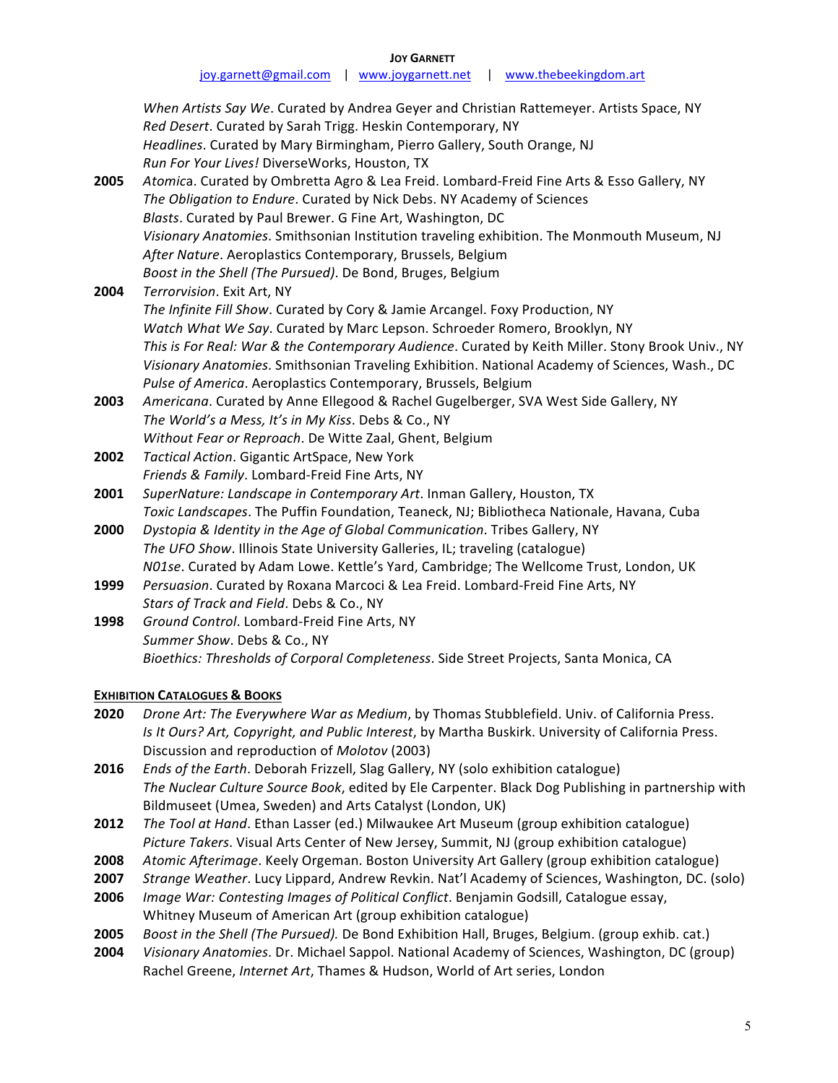When Artists Say We. Curated by Andrea Geyer and Christian Rattemeyer. Artists Space, NY Red Desert. Curated by Sarah Trigg. Heskin Contemporary, NY Headlines. Curated by Mary Birmingham, Pierro Gallery, South Orange, NJ *Run For Your Lives!* DiverseWorks, Houston, TX 2005 *Atomica*. Curated by Ombretta Agro & Lea Freid. Lombard-Freid Fine Arts & Esso Gallery, NY The Obligation to Endure. Curated by Nick Debs. NY Academy of Sciences **Blasts.** Curated by Paul Brewer. G Fine Art, Washington, DC Visionary Anatomies. Smithsonian Institution traveling exhibition. The Monmouth Museum, NJ After Nature. Aeroplastics Contemporary, Brussels, Belgium *Boost in the Shell (The Pursued)*. De Bond, Bruges, Belgium **2004** *Terrorvision*. Exit Art, NY The Infinite Fill Show. Curated by Cory & Jamie Arcangel. Foxy Production, NY *Watch What We Say*. Curated by Marc Lepson. Schroeder Romero, Brooklyn, NY *This is For Real: War & the Contemporary Audience.* Curated by Keith Miller. Stony Brook Univ., NY Visionary Anatomies. Smithsonian Traveling Exhibition. National Academy of Sciences, Wash., DC Pulse of America. Aeroplastics Contemporary, Brussels, Belgium **2003** *Americana*. Curated by Anne Ellegood & Rachel Gugelberger, SVA West Side Gallery, NY The World's a Mess, It's in My Kiss. Debs & Co., NY *Without Fear or Reproach*. De Witte Zaal, Ghent, Belgium 2002 *Tactical Action*. Gigantic ArtSpace, New York Friends & Family. Lombard-Freid Fine Arts, NY **2001** *SuperNature: Landscape in Contemporary Art.* Inman Gallery, Houston, TX Toxic Landscapes. The Puffin Foundation, Teaneck, NJ; Bibliotheca Nationale, Havana, Cuba **2000** *Dystopia & Identity in the Age of Global Communication*. Tribes Gallery, NY The UFO Show. Illinois State University Galleries, IL; traveling (catalogue) *N01se*. Curated by Adam Lowe. Kettle's Yard, Cambridge; The Wellcome Trust, London, UK **1999** *Persuasion*. Curated by Roxana Marcoci & Lea Freid. Lombard-Freid Fine Arts, NY Stars of Track and Field. Debs & Co., NY 1998 Ground Control. Lombard-Freid Fine Arts, NY Summer Show. Debs & Co., NY

*Bioethics: Thresholds of Corporal Completeness*. Side Street Projects, Santa Monica, CA

# **EXHIBITION CATALOGUES & BOOKS**

- **2020** *Drone Art: The Everywhere War as Medium*, by Thomas Stubblefield. Univ. of California Press. *Is It Ours? Art, Copyright, and Public Interest, by Martha Buskirk. University of California Press.* Discussion and reproduction of *Molotov* (2003)
- **2016** *Ends of the Earth*. Deborah Frizzell, Slag Gallery, NY (solo exhibition catalogue) *The Nuclear Culture Source Book*, edited by Ele Carpenter. Black Dog Publishing in partnership with Bildmuseet (Umea, Sweden) and Arts Catalyst (London, UK)
- **2012** *The Tool at Hand*. Ethan Lasser (ed.) Milwaukee Art Museum (group exhibition catalogue) Picture Takers. Visual Arts Center of New Jersey, Summit, NJ (group exhibition catalogue)
- **2008** *Atomic Afterimage.* Keely Orgeman. Boston University Art Gallery (group exhibition catalogue)
- **2007** *Strange Weather*. Lucy Lippard, Andrew Revkin. Nat'l Academy of Sciences, Washington, DC. (solo)
- **2006** *Image War: Contesting Images of Political Conflict*. Benjamin Godsill, Catalogue essay, Whitney Museum of American Art (group exhibition catalogue)
- **2005** *Boost in the Shell (The Pursued).* De Bond Exhibition Hall, Bruges, Belgium. (group exhib. cat.)
- **2004** *Visionary Anatomies*. Dr. Michael Sappol. National Academy of Sciences, Washington, DC (group) Rachel Greene, *Internet Art*, Thames & Hudson, World of Art series, London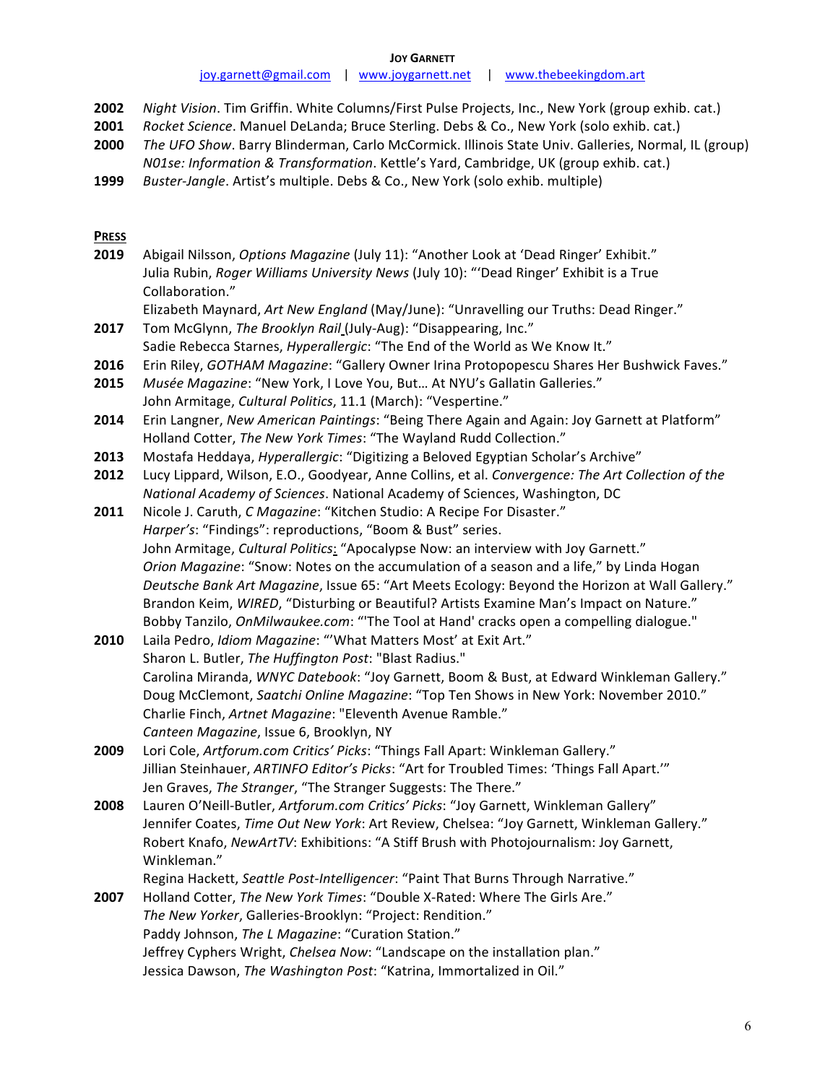**JOY GARNETT**

- **2002** *Night Vision*. Tim Griffin. White Columns/First Pulse Projects, Inc., New York (group exhib. cat.)
- **2001** *Rocket Science*. Manuel DeLanda; Bruce Sterling. Debs & Co., New York (solo exhib. cat.)
- **2000** *The UFO Show*. Barry Blinderman, Carlo McCormick. Illinois State Univ. Galleries, Normal, IL (group) *N01se: Information & Transformation*. Kettle's Yard, Cambridge, UK (group exhib. cat.)
- **1999** *Buster-Jangle*. Artist's multiple. Debs & Co., New York (solo exhib. multiple)

### **PRESS**

- 2019 Abigail Nilsson, Options Magazine (July 11): "Another Look at 'Dead Ringer' Exhibit." Julia Rubin, *Roger Williams University News* (July 10): "'Dead Ringer' Exhibit is a True Collaboration."
	- Elizabeth Maynard, Art New England (May/June): "Unravelling our Truths: Dead Ringer."
- **2017** Tom McGlynn, *The Brooklyn Rail* (July-Aug): "Disappearing, Inc." Sadie Rebecca Starnes, *Hyperallergic*: "The End of the World as We Know It."
- **2016** Erin Riley, *GOTHAM Magazine*: "Gallery Owner Irina Protopopescu Shares Her Bushwick Faves."
- **2015** Musée Magazine: "New York, I Love You, But... At NYU's Gallatin Galleries." John Armitage, *Cultural Politics*, 11.1 (March): "Vespertine."
- **2014** Erin Langner, *New American Paintings*: "Being There Again and Again: Joy Garnett at Platform" Holland Cotter, The New York Times: "The Wayland Rudd Collection."
- **2013** Mostafa Heddaya, *Hyperallergic*: "Digitizing a Beloved Egyptian Scholar's Archive"
- **2012** Lucy Lippard, Wilson, E.O., Goodyear, Anne Collins, et al. *Convergence: The Art Collection of the National Academy of Sciences*. National Academy of Sciences, Washington, DC
- **2011** Nicole J. Caruth, *C Magazine*: "Kitchen Studio: A Recipe For Disaster." Harper's: "Findings": reproductions, "Boom & Bust" series. John Armitage, *Cultural Politics*: "Apocalypse Now: an interview with Joy Garnett." *Orion Magazine*: "Snow: Notes on the accumulation of a season and a life," by Linda Hogan Deutsche Bank Art Magazine, Issue 65: "Art Meets Ecology: Beyond the Horizon at Wall Gallery." Brandon Keim, *WIRED*, "Disturbing or Beautiful? Artists Examine Man's Impact on Nature." Bobby Tanzilo, *OnMilwaukee.com*: "'The Tool at Hand' cracks open a compelling dialogue."
- **2010** Laila Pedro, *Idiom Magazine*: "'What Matters Most' at Exit Art." Sharon L. Butler, *The Huffington Post*: "Blast Radius." Carolina Miranda, WNYC Datebook: "Joy Garnett, Boom & Bust, at Edward Winkleman Gallery." Doug McClemont, *Saatchi Online Magazine*: "Top Ten Shows in New York: November 2010." Charlie Finch, Artnet Magazine: "Eleventh Avenue Ramble." *Canteen Magazine*, Issue 6, Brooklyn, NY
- **2009** Lori Cole, Artforum.com Critics' Picks: "Things Fall Apart: Winkleman Gallery." Jillian Steinhauer, *ARTINFO Editor's Picks*: "Art for Troubled Times: 'Things Fall Apart.'" Jen Graves, The Stranger, "The Stranger Suggests: The There."
- **2008** Lauren O'Neill-Butler, Artforum.com Critics' Picks: "Joy Garnett, Winkleman Gallery" Jennifer Coates, Time Out New York: Art Review, Chelsea: "Joy Garnett, Winkleman Gallery." Robert Knafo, *NewArtTV*: Exhibitions: "A Stiff Brush with Photojournalism: Joy Garnett, Winkleman."
- Regina Hackett, Seattle Post-Intelligencer: "Paint That Burns Through Narrative."
- **2007** Holland Cotter, The New York Times: "Double X-Rated: Where The Girls Are." The New Yorker, Galleries-Brooklyn: "Project: Rendition." Paddy Johnson, The L Magazine: "Curation Station." Jeffrey Cyphers Wright, *Chelsea Now*: "Landscape on the installation plan." Jessica Dawson, The Washington Post: "Katrina, Immortalized in Oil."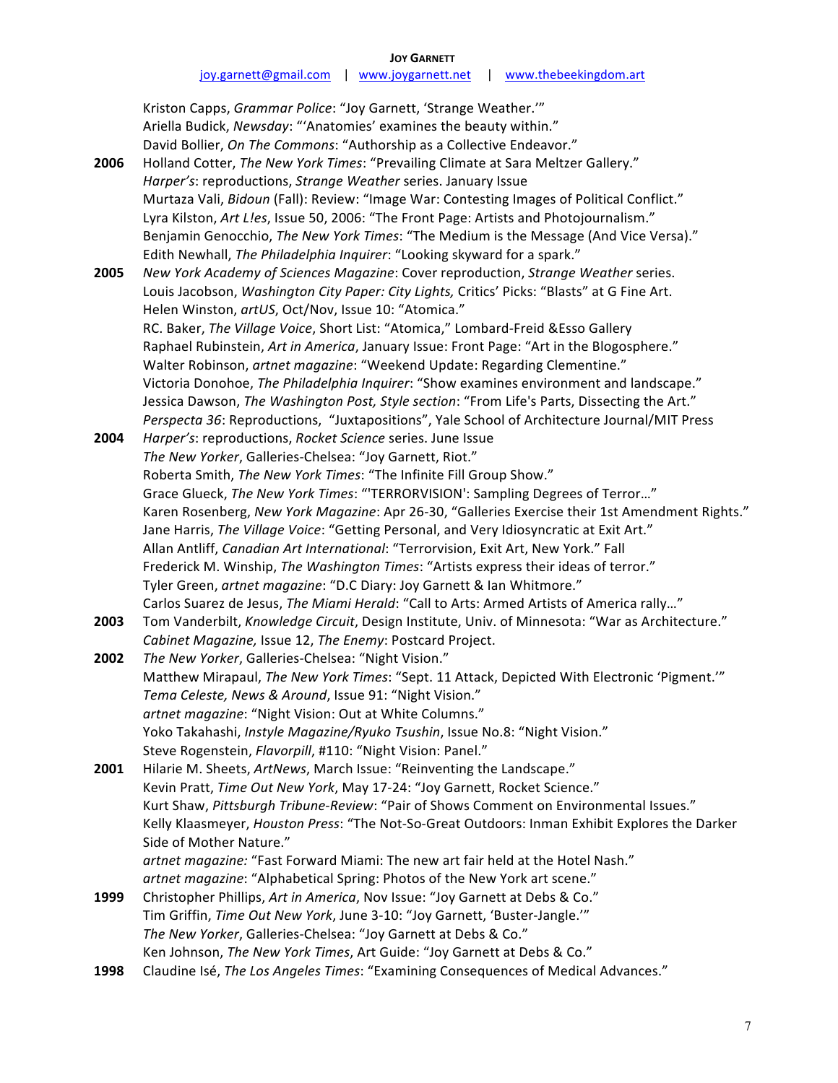|  | <b>JOY GARNETT</b> |
|--|--------------------|
|--|--------------------|

Kriston Capps, *Grammar Police*: "Joy Garnett, 'Strange Weather.'" Ariella Budick, *Newsday*: "'Anatomies' examines the beauty within." David Bollier, *On The Commons*: "Authorship as a Collective Endeavor." **2006** Holland Cotter, The New York Times: "Prevailing Climate at Sara Meltzer Gallery." Harper's: reproductions, Strange Weather series. January Issue Murtaza Vali, *Bidoun* (Fall): Review: "Image War: Contesting Images of Political Conflict." Lyra Kilston, Art Lles, Issue 50, 2006: "The Front Page: Artists and Photojournalism." Benjamin Genocchio, *The New York Times*: "The Medium is the Message (And Vice Versa)." Edith Newhall, *The Philadelphia Inquirer*: "Looking skyward for a spark." **2005** New York Academy of Sciences Magazine: Cover reproduction, Strange Weather series. Louis Jacobson, *Washington City Paper: City Lights*, Critics' Picks: "Blasts" at G Fine Art. Helen Winston, artUS, Oct/Nov, Issue 10: "Atomica." RC. Baker, *The Village Voice*, Short List: "Atomica," Lombard-Freid &Esso Gallery Raphael Rubinstein, *Art in America*, January Issue: Front Page: "Art in the Blogosphere." Walter Robinson, artnet magazine: "Weekend Update: Regarding Clementine." Victoria Donohoe, The Philadelphia Inquirer: "Show examines environment and landscape." Jessica Dawson, The Washington Post, Style section: "From Life's Parts, Dissecting the Art." Perspecta 36: Reproductions, "Juxtapositions", Yale School of Architecture Journal/MIT Press **2004** *Harper's:* reproductions, Rocket Science series. June Issue The New Yorker, Galleries-Chelsea: "Joy Garnett, Riot." Roberta Smith, *The New York Times*: "The Infinite Fill Group Show." Grace Glueck, *The New York Times*: "'TERRORVISION': Sampling Degrees of Terror..." Karen Rosenberg, *New York Magazine*: Apr 26-30, "Galleries Exercise their 1st Amendment Rights." Jane Harris, *The Village Voice*: "Getting Personal, and Very Idiosyncratic at Exit Art." Allan Antliff, *Canadian Art International*: "Terrorvision, Exit Art, New York." Fall Frederick M. Winship, *The Washington Times*: "Artists express their ideas of terror." Tyler Green, artnet magazine: "D.C Diary: Joy Garnett & Ian Whitmore." Carlos Suarez de Jesus, *The Miami Herald*: "Call to Arts: Armed Artists of America rally..." **2003** Tom Vanderbilt, *Knowledge Circuit*, Design Institute, Univ. of Minnesota: "War as Architecture." *Cabinet Magazine, Issue 12, The Enemy: Postcard Project.* **2002** The New Yorker, Galleries-Chelsea: "Night Vision." Matthew Mirapaul, *The New York Times*: "Sept. 11 Attack, Depicted With Electronic 'Pigment.'" Tema Celeste, News & Around, Issue 91: "Night Vision." artnet magazine: "Night Vision: Out at White Columns." Yoko Takahashi, Instyle Magazine/Ryuko Tsushin, Issue No.8: "Night Vision." Steve Rogenstein, *Flavorpill*, #110: "Night Vision: Panel." **2001** Hilarie M. Sheets, ArtNews, March Issue: "Reinventing the Landscape." Kevin Pratt, Time Out New York, May 17-24: "Joy Garnett, Rocket Science." Kurt Shaw, Pittsburgh Tribune-Review: "Pair of Shows Comment on Environmental Issues." Kelly Klaasmeyer, *Houston Press*: "The Not-So-Great Outdoors: Inman Exhibit Explores the Darker Side of Mother Nature." artnet magazine: "Fast Forward Miami: The new art fair held at the Hotel Nash." artnet magazine: "Alphabetical Spring: Photos of the New York art scene." **1999** Christopher Phillips, Art in America, Nov Issue: "Joy Garnett at Debs & Co." Tim Griffin, *Time Out New York*, June 3-10: "Joy Garnett, 'Buster-Jangle.'" The New Yorker, Galleries-Chelsea: "Joy Garnett at Debs & Co." Ken Johnson, *The New York Times*, Art Guide: "Joy Garnett at Debs & Co."

1998 Claudine Isé, The Los Angeles Times: "Examining Consequences of Medical Advances."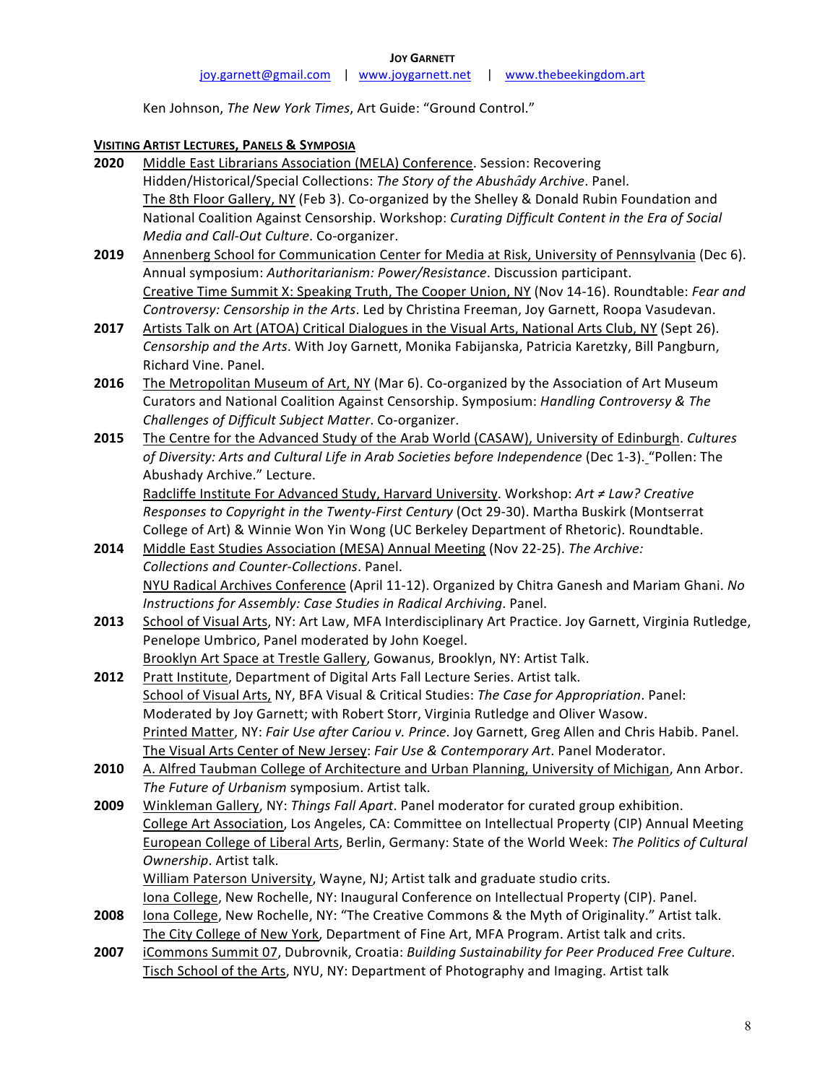Ken Johnson, The New York Times, Art Guide: "Ground Control."

### **VISITING ARTIST LECTURES, PANELS & SYMPOSIA**

- **2020** Middle East Librarians Association (MELA) Conference. Session: Recovering Hidden/Historical/Special Collections: The Story of the Abushady Archive. Panel. The 8th Floor Gallery, NY (Feb 3). Co-organized by the Shelley & Donald Rubin Foundation and National Coalition Against Censorship. Workshop: *Curating Difficult Content in the Era of Social Media and Call-Out Culture*. Co-organizer.
- **2019** Annenberg School for Communication Center for Media at Risk, University of Pennsylvania (Dec 6). Annual symposium: Authoritarianism: Power/Resistance. Discussion participant. Creative Time Summit X: Speaking Truth, The Cooper Union, NY (Nov 14-16). Roundtable: *Fear and Controversy: Censorship in the Arts*. Led by Christina Freeman, Joy Garnett, Roopa Vasudevan.
- **2017** Artists Talk on Art (ATOA) Critical Dialogues in the Visual Arts, National Arts Club, NY (Sept 26). Censorship and the Arts. With Joy Garnett, Monika Fabijanska, Patricia Karetzky, Bill Pangburn, Richard Vine. Panel.
- **2016** The Metropolitan Museum of Art, NY (Mar 6). Co-organized by the Association of Art Museum Curators and National Coalition Against Censorship. Symposium: *Handling Controversy & The Challenges of Difficult Subject Matter*. Co-organizer.
- **2015** The Centre for the Advanced Study of the Arab World (CASAW), University of Edinburgh. *Cultures* of Diversity: Arts and Cultural Life in Arab Societies before Independence (Dec 1-3). "Pollen: The Abushady Archive." Lecture.

Radcliffe Institute For Advanced Study, Harvard University. Workshop: Art ≠ Law? Creative *Responses to Copyright in the Twenty-First Century* (Oct 29-30). Martha Buskirk (Montserrat College of Art) & Winnie Won Yin Wong (UC Berkeley Department of Rhetoric). Roundtable.

- **2014** Middle East Studies Association (MESA) Annual Meeting (Nov 22-25). The Archive: *Collections and Counter-Collections*. Panel. NYU Radical Archives Conference (April 11-12). Organized by Chitra Ganesh and Mariam Ghani. No *Instructions for Assembly: Case Studies in Radical Archiving. Panel.*
- **2013** School of Visual Arts, NY: Art Law, MFA Interdisciplinary Art Practice. Joy Garnett, Virginia Rutledge, Penelope Umbrico, Panel moderated by John Koegel. Brooklyn Art Space at Trestle Gallery, Gowanus, Brooklyn, NY: Artist Talk.
- **2012** Pratt Institute, Department of Digital Arts Fall Lecture Series. Artist talk. School of Visual Arts, NY, BFA Visual & Critical Studies: The Case for Appropriation. Panel: Moderated by Joy Garnett; with Robert Storr, Virginia Rutledge and Oliver Wasow. Printed Matter, NY: *Fair Use after Cariou v. Prince*. Joy Garnett, Greg Allen and Chris Habib. Panel. The Visual Arts Center of New Jersey: Fair Use & Contemporary Art. Panel Moderator.
- **2010** A. Alfred Taubman College of Architecture and Urban Planning, University of Michigan, Ann Arbor. The Future of Urbanism symposium. Artist talk.
- **2009** Winkleman Gallery, NY: Things Fall Apart. Panel moderator for curated group exhibition. College Art Association, Los Angeles, CA: Committee on Intellectual Property (CIP) Annual Meeting European College of Liberal Arts, Berlin, Germany: State of the World Week: The Politics of Cultural **Ownership.** Artist talk. William Paterson University, Wayne, NJ; Artist talk and graduate studio crits. Iona College, New Rochelle, NY: Inaugural Conference on Intellectual Property (CIP). Panel.
- **2008** Iona College, New Rochelle, NY: "The Creative Commons & the Myth of Originality." Artist talk. The City College of New York, Department of Fine Art, MFA Program. Artist talk and crits.
- **2007** iCommons Summit 07, Dubrovnik, Croatia: *Building Sustainability for Peer Produced Free Culture*. Tisch School of the Arts, NYU, NY: Department of Photography and Imaging. Artist talk